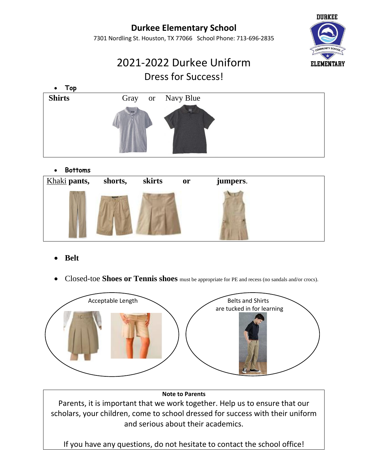## **Durkee Elementary School**

7301 Nordling St. Houston, TX 77066 School Phone: 713-696-2835



# 2021-2022 Durkee Uniform Dress for Success!



### • **Bottoms**



- **Belt**
- Closed-toe **Shoes or Tennis shoes** must be appropriate for PE and recess (no sandals and/or crocs).



#### **Note to Parents**

Parents, it is important that we work together. Help us to ensure that our scholars, your children, come to school dressed for success with their uniform and serious about their academics.

If you have any questions, do not hesitate to contact the school office!